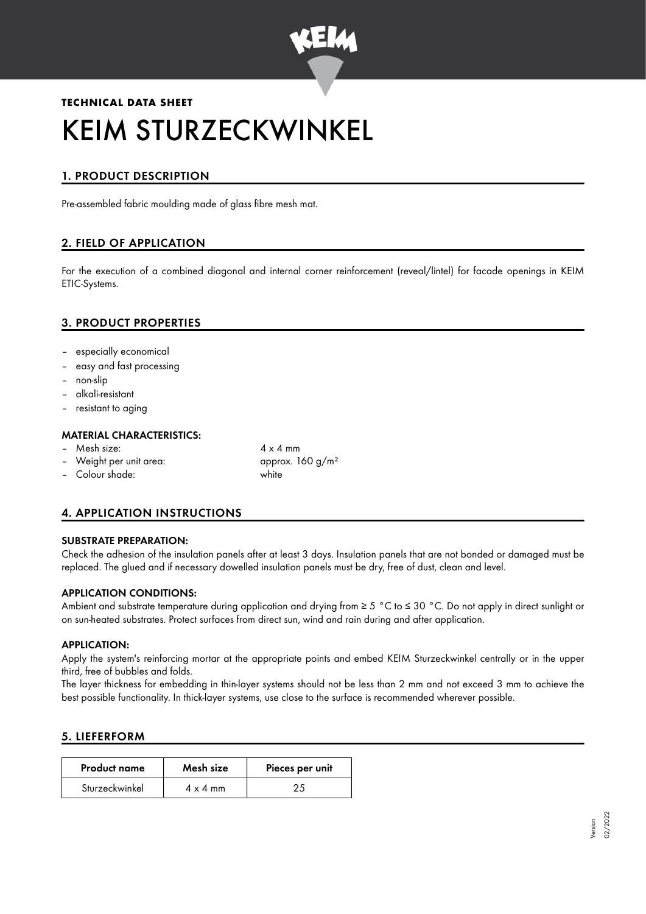

# **TECHNICAL DATA SHEET** KEIM STURZECKWINKEL

## 1. PRODUCT DESCRIPTION

Pre-assembled fabric moulding made of glass fibre mesh mat.

## 2. FIELD OF APPLICATION

For the execution of a combined diagonal and internal corner reinforcement (reveal/lintel) for facade openings in KEIM ETIC-Systems.

## 3. PRODUCT PROPERTIES

- especially economical
- easy and fast processing
- non-slip
- alkali-resistant
- resistant to aging

#### MATERIAL CHARACTERISTICS:

- Mesh size:  $4 \times 4$  mm
- Weight per unit area:  $\mu$  approx. 160 g/m<sup>2</sup>
- Colour shade: white
- 

## 4. APPLICATION INSTRUCTIONS

#### SUBSTRATE PREPARATION:

Check the adhesion of the insulation panels after at least 3 days. Insulation panels that are not bonded or damaged must be replaced. The glued and if necessary dowelled insulation panels must be dry, free of dust, clean and level.

#### APPLICATION CONDITIONS:

Ambient and substrate temperature during application and drying from ≥ 5 °C to ≤ 30 °C. Do not apply in direct sunlight or on sun-heated substrates. Protect surfaces from direct sun, wind and rain during and after application.

#### APPLICATION:

Apply the system's reinforcing mortar at the appropriate points and embed KEIM Sturzeckwinkel centrally or in the upper third, free of bubbles and folds.

The layer thickness for embedding in thin-layer systems should not be less than 2 mm and not exceed 3 mm to achieve the best possible functionality. In thick-layer systems, use close to the surface is recommended wherever possible.

#### 5. LIEFERFORM

| <b>Product name</b> | Mesh size       | Pieces per unit |
|---------------------|-----------------|-----------------|
| Sturzeckwinkel      | $4 \times 4$ mm |                 |